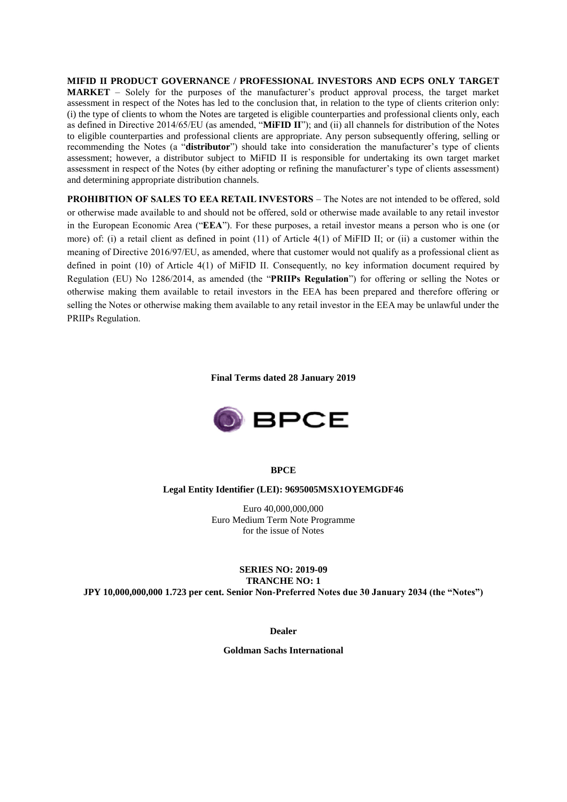**MIFID II PRODUCT GOVERNANCE / PROFESSIONAL INVESTORS AND ECPS ONLY TARGET MARKET** – Solely for the purposes of the manufacturer's product approval process, the target market assessment in respect of the Notes has led to the conclusion that, in relation to the type of clients criterion only: (i) the type of clients to whom the Notes are targeted is eligible counterparties and professional clients only, each as defined in Directive 2014/65/EU (as amended, "**MiFID II**"); and (ii) all channels for distribution of the Notes to eligible counterparties and professional clients are appropriate. Any person subsequently offering, selling or recommending the Notes (a "**distributor**") should take into consideration the manufacturer's type of clients assessment; however, a distributor subject to MiFID II is responsible for undertaking its own target market assessment in respect of the Notes (by either adopting or refining the manufacturer's type of clients assessment) and determining appropriate distribution channels.

**PROHIBITION OF SALES TO EEA RETAIL INVESTORS – The Notes are not intended to be offered, sold** or otherwise made available to and should not be offered, sold or otherwise made available to any retail investor in the European Economic Area ("**EEA**"). For these purposes, a retail investor means a person who is one (or more) of: (i) a retail client as defined in point (11) of Article 4(1) of MiFID II; or (ii) a customer within the meaning of Directive 2016/97/EU, as amended, where that customer would not qualify as a professional client as defined in point (10) of Article 4(1) of MiFID II. Consequently, no key information document required by Regulation (EU) No 1286/2014, as amended (the "**PRIIPs Regulation**") for offering or selling the Notes or otherwise making them available to retail investors in the EEA has been prepared and therefore offering or selling the Notes or otherwise making them available to any retail investor in the EEA may be unlawful under the PRIIPs Regulation.

**Final Terms dated 28 January 2019**



#### **BPCE**

#### **Legal Entity Identifier (LEI): 9695005MSX1OYEMGDF46**

Euro 40,000,000,000 Euro Medium Term Note Programme for the issue of Notes

#### **SERIES NO: 2019-09 TRANCHE NO: 1**

**JPY 10,000,000,000 1.723 per cent. Senior Non-Preferred Notes due 30 January 2034 (the "Notes")**

**Dealer**

**Goldman Sachs International**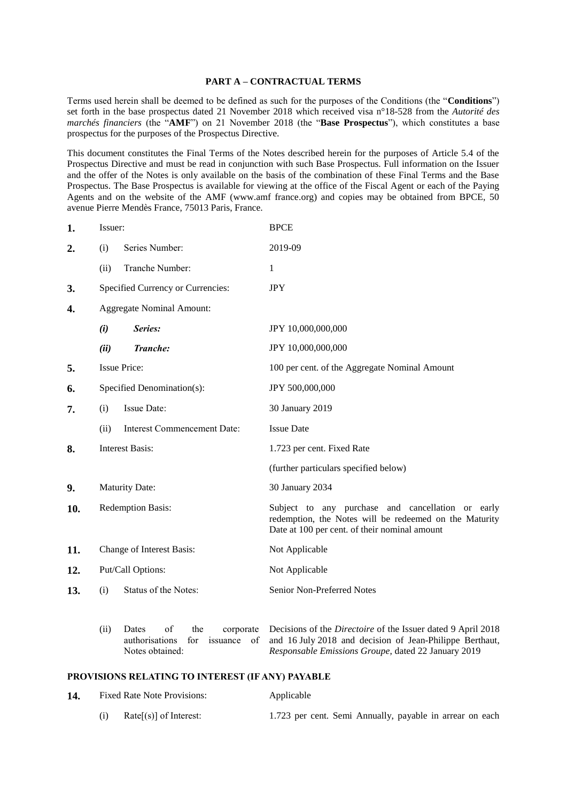### **PART A – CONTRACTUAL TERMS**

Terms used herein shall be deemed to be defined as such for the purposes of the Conditions (the "**Conditions**") set forth in the base prospectus dated 21 November 2018 which received visa n°18-528 from the *Autorité des marchés financiers* (the "**AMF**") on 21 November 2018 (the "**Base Prospectus**"), which constitutes a base prospectus for the purposes of the Prospectus Directive.

This document constitutes the Final Terms of the Notes described herein for the purposes of Article 5.4 of the Prospectus Directive and must be read in conjunction with such Base Prospectus. Full information on the Issuer and the offer of the Notes is only available on the basis of the combination of these Final Terms and the Base Prospectus. The Base Prospectus is available for viewing at the office of the Fiscal Agent or each of the Paying Agents and on the website of the AMF (www.amf france.org) and copies may be obtained from BPCE, 50 avenue Pierre Mendès France, 75013 Paris, France.

| 1.                           | Issuer:                                                                               |                                                                                               | <b>BPCE</b>                                                                                                                                                                            |  |
|------------------------------|---------------------------------------------------------------------------------------|-----------------------------------------------------------------------------------------------|----------------------------------------------------------------------------------------------------------------------------------------------------------------------------------------|--|
| 2.                           | Series Number:<br>(i)                                                                 |                                                                                               | 2019-09                                                                                                                                                                                |  |
|                              | (ii)                                                                                  | Tranche Number:                                                                               | $\mathbf{1}$                                                                                                                                                                           |  |
| 3.                           | Specified Currency or Currencies:                                                     |                                                                                               | <b>JPY</b>                                                                                                                                                                             |  |
| 4.                           | <b>Aggregate Nominal Amount:</b>                                                      |                                                                                               |                                                                                                                                                                                        |  |
|                              | (i)                                                                                   | Series:                                                                                       | JPY 10,000,000,000                                                                                                                                                                     |  |
|                              | (ii)                                                                                  | Tranche:                                                                                      | JPY 10,000,000,000                                                                                                                                                                     |  |
| 5.                           | <b>Issue Price:</b>                                                                   |                                                                                               | 100 per cent. of the Aggregate Nominal Amount                                                                                                                                          |  |
| 6.                           | Specified Denomination(s):                                                            |                                                                                               | JPY 500,000,000                                                                                                                                                                        |  |
| 7.                           | Issue Date:<br>(i)<br><b>Issue Date</b><br><b>Interest Commencement Date:</b><br>(ii) |                                                                                               | 30 January 2019                                                                                                                                                                        |  |
|                              |                                                                                       |                                                                                               |                                                                                                                                                                                        |  |
| <b>Interest Basis:</b><br>8. |                                                                                       |                                                                                               | 1.723 per cent. Fixed Rate                                                                                                                                                             |  |
|                              |                                                                                       |                                                                                               | (further particulars specified below)                                                                                                                                                  |  |
| 9.                           | <b>Maturity Date:</b>                                                                 |                                                                                               | 30 January 2034                                                                                                                                                                        |  |
| 10.                          | Redemption Basis:                                                                     |                                                                                               | Subject to any purchase and cancellation or early<br>redemption, the Notes will be redeemed on the Maturity<br>Date at 100 per cent. of their nominal amount                           |  |
| 11.                          | Change of Interest Basis:                                                             |                                                                                               | Not Applicable                                                                                                                                                                         |  |
| 12.                          | Put/Call Options:                                                                     |                                                                                               | Not Applicable                                                                                                                                                                         |  |
| 13.                          | (i)                                                                                   | Status of the Notes:                                                                          | Senior Non-Preferred Notes                                                                                                                                                             |  |
|                              |                                                                                       |                                                                                               |                                                                                                                                                                                        |  |
|                              | (ii)                                                                                  | Dates<br>of<br>the<br>corporate<br>authorisations<br>for<br>issuance<br>of<br>Notes obtained: | Decisions of the <i>Directoire</i> of the Issuer dated 9 April 2018<br>and 16 July 2018 and decision of Jean-Philippe Berthaut,<br>Responsable Emissions Groupe, dated 22 January 2019 |  |
|                              |                                                                                       |                                                                                               |                                                                                                                                                                                        |  |

#### **PROVISIONS RELATING TO INTEREST (IF ANY) PAYABLE**

| 14. | <b>Fixed Rate Note Provisions:</b> |                        | Applicable                                               |  |
|-----|------------------------------------|------------------------|----------------------------------------------------------|--|
|     |                                    | Rate[(s)] of Interest: | 1.723 per cent. Semi Annually, payable in arrear on each |  |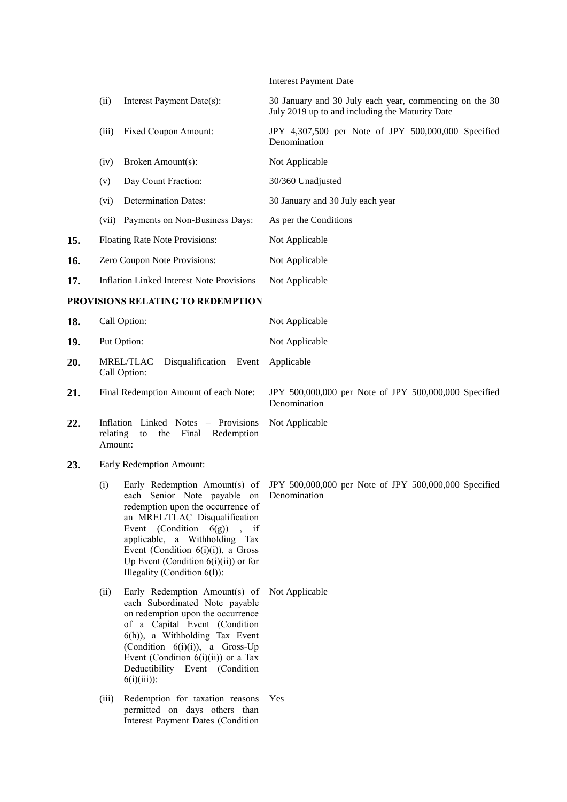Interest Payment Date

|                                   | Interest Payment Date(s):<br>(ii)               |                                      | 30 January and 30 July each year, commencing on the 30<br>July 2019 up to and including the Maturity Date |  |
|-----------------------------------|-------------------------------------------------|--------------------------------------|-----------------------------------------------------------------------------------------------------------|--|
|                                   | (iii)                                           | Fixed Coupon Amount:                 | JPY 4,307,500 per Note of JPY 500,000,000 Specified<br>Denomination                                       |  |
|                                   | Broken Amount(s):<br>(iv)                       |                                      | Not Applicable                                                                                            |  |
|                                   | Day Count Fraction:<br>30/360 Unadjusted<br>(v) |                                      |                                                                                                           |  |
|                                   | (vi)                                            | <b>Determination Dates:</b>          | 30 January and 30 July each year                                                                          |  |
|                                   |                                                 | (vii) Payments on Non-Business Days: | As per the Conditions                                                                                     |  |
| 15.                               | Floating Rate Note Provisions:                  |                                      | Not Applicable                                                                                            |  |
| 16.                               | Zero Coupon Note Provisions:                    |                                      | Not Applicable                                                                                            |  |
| 17.                               | Inflation Linked Interest Note Provisions       |                                      | Not Applicable                                                                                            |  |
| PROVISIONS RELATING TO REDEMPTION |                                                 |                                      |                                                                                                           |  |
| 18.                               | Call Option:                                    |                                      | Not Applicable                                                                                            |  |

- **19.** Put Option: Not Applicable
- **20.** MREL/TLAC Disqualification Event Applicable Call Option:
- **21.** Final Redemption Amount of each Note: JPY 500,000,000 per Note of JPY 500,000,000 Specified Denomination
- **22.** Inflation Linked Notes Provisions relating to the Final Redemption Amount: Not Applicable
- **23.** Early Redemption Amount:
	- each Senior Note payable on redemption upon the occurrence of an MREL/TLAC Disqualification Event (Condition  $6(g)$ ), if applicable, a Withholding Tax Event (Condition  $6(i)(i)$ ), a Gross Up Event (Condition  $6(i)(ii)$ ) or for Illegality (Condition 6(l)):
	- (ii) Early Redemption Amount(s) of Not Applicable each Subordinated Note payable on redemption upon the occurrence of a Capital Event (Condition  $6(h)$ ), a Withholding Tax Event (Condition 6(i)(i)), a Gross-Up Event (Condition  $6(i)(ii)$ ) or a Tax Deductibility Event (Condition 6(i)(iii)):
	- (iii) Redemption for taxation reasons Yespermitted on days others than Interest Payment Dates (Condition

(i) Early Redemption Amount(s) of JPY 500,000,000 per Note of JPY 500,000,000 Specified Denomination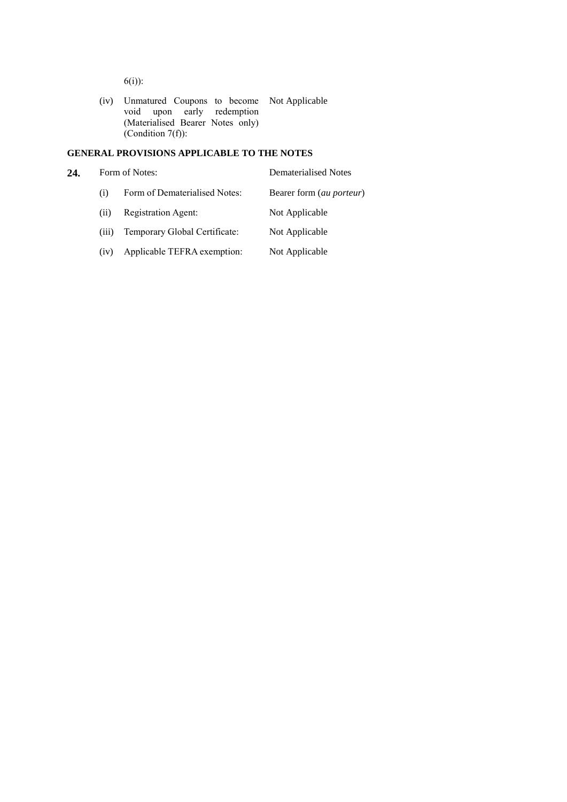6(i)):

(iv) Unmatured Coupons to become void upon early redemption (Materialised Bearer Notes only) (Condition 7(f)): Not Applicable

# **GENERAL PROVISIONS APPLICABLE TO THE NOTES**

| 24. | Form of Notes: |                               | <b>Dematerialised Notes</b> |  |
|-----|----------------|-------------------------------|-----------------------------|--|
|     | (i)            | Form of Dematerialised Notes: | Bearer form (au porteur)    |  |
|     | (i)            | Registration Agent:           | Not Applicable              |  |
|     | (iii)          | Temporary Global Certificate: | Not Applicable              |  |
|     | (iv)           | Applicable TEFRA exemption:   | Not Applicable              |  |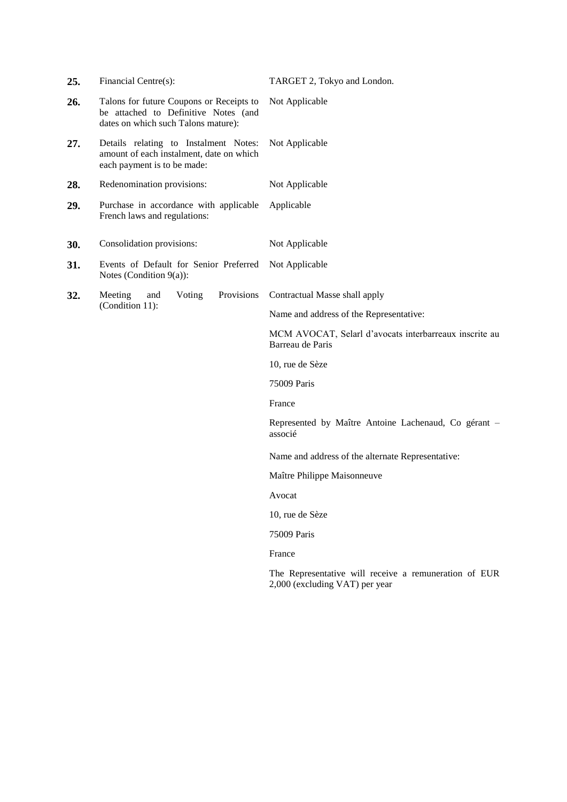| 25. | Financial Centre(s):                                                                                                    | TARGET 2, Tokyo and London.                                                             |
|-----|-------------------------------------------------------------------------------------------------------------------------|-----------------------------------------------------------------------------------------|
| 26. | Talons for future Coupons or Receipts to<br>be attached to Definitive Notes (and<br>dates on which such Talons mature): | Not Applicable                                                                          |
| 27. | Details relating to Instalment Notes:<br>amount of each instalment, date on which<br>each payment is to be made:        | Not Applicable                                                                          |
| 28. | Redenomination provisions:                                                                                              | Not Applicable                                                                          |
| 29. | Purchase in accordance with applicable<br>French laws and regulations:                                                  | Applicable                                                                              |
| 30. | Consolidation provisions:                                                                                               | Not Applicable                                                                          |
| 31. | Events of Default for Senior Preferred<br>Notes (Condition 9(a)):                                                       | Not Applicable                                                                          |
| 32. | Meeting<br>Provisions<br>and<br>Voting                                                                                  | Contractual Masse shall apply                                                           |
|     | (Condition 11):                                                                                                         | Name and address of the Representative:                                                 |
|     |                                                                                                                         | MCM AVOCAT, Selarl d'avocats interbarreaux inscrite au<br>Barreau de Paris              |
|     |                                                                                                                         | 10, rue de Sèze                                                                         |
|     |                                                                                                                         | 75009 Paris                                                                             |
|     |                                                                                                                         | France                                                                                  |
|     |                                                                                                                         | Represented by Maître Antoine Lachenaud, Co gérant -<br>associé                         |
|     |                                                                                                                         | Name and address of the alternate Representative:                                       |
|     |                                                                                                                         | Maître Philippe Maisonneuve                                                             |
|     |                                                                                                                         | Avocat                                                                                  |
|     |                                                                                                                         | 10, rue de Sèze                                                                         |
|     |                                                                                                                         | 75009 Paris                                                                             |
|     |                                                                                                                         | France                                                                                  |
|     |                                                                                                                         | The Representative will receive a remuneration of EUR<br>2,000 (excluding VAT) per year |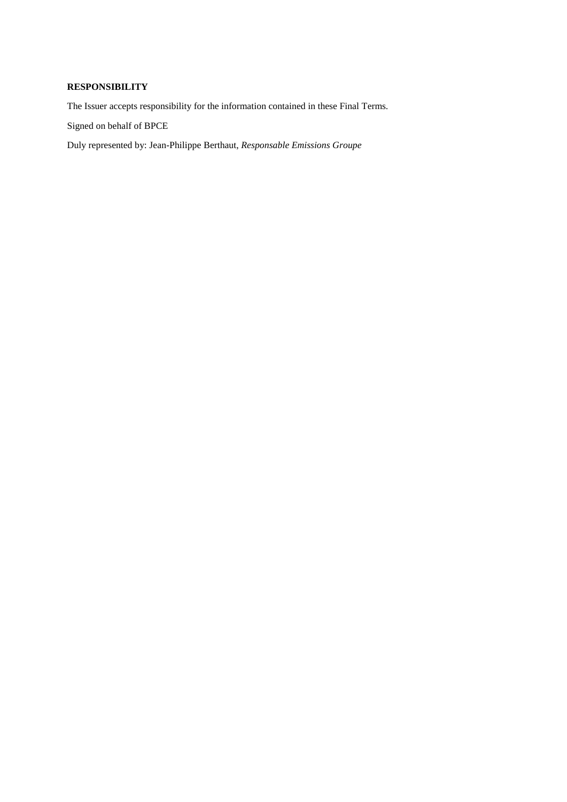## **RESPONSIBILITY**

The Issuer accepts responsibility for the information contained in these Final Terms.

Signed on behalf of BPCE

Duly represented by: Jean-Philippe Berthaut, *Responsable Emissions Groupe*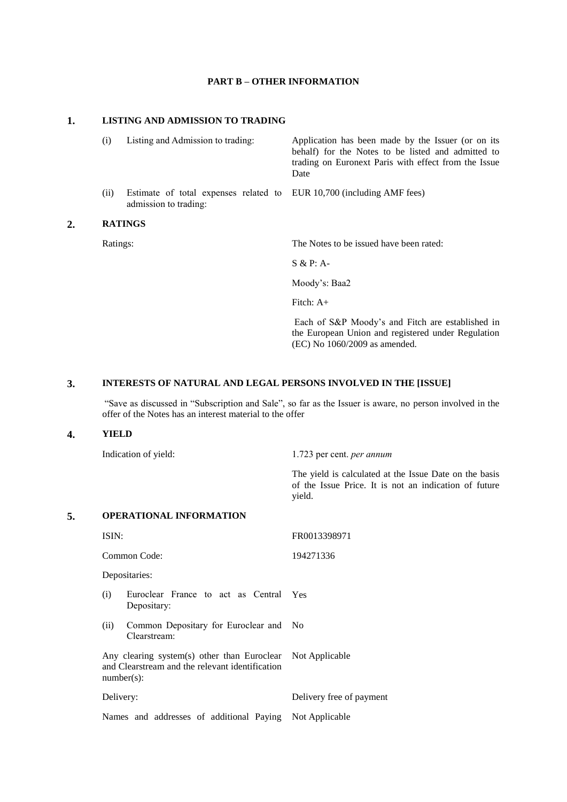### **PART B – OTHER INFORMATION**

## **1. LISTING AND ADMISSION TO TRADING**

|    | (i)            | Listing and Admission to trading:                                                              | Application has been made by the Issuer (or on its<br>behalf) for the Notes to be listed and admitted to<br>trading on Euronext Paris with effect from the Issue<br>Date |
|----|----------------|------------------------------------------------------------------------------------------------|--------------------------------------------------------------------------------------------------------------------------------------------------------------------------|
|    | (11)           | Estimate of total expenses related to EUR 10,700 (including AMF fees)<br>admission to trading: |                                                                                                                                                                          |
| 2. | <b>RATINGS</b> |                                                                                                |                                                                                                                                                                          |
|    | Ratings:       |                                                                                                | The Notes to be issued have been rated:                                                                                                                                  |
|    |                |                                                                                                |                                                                                                                                                                          |

S & P: A-

Moody's: Baa2

Fitch: A+

Each of S&P Moody's and Fitch are established in the European Union and registered under Regulation (EC) No 1060/2009 as amended.

## **3. INTERESTS OF NATURAL AND LEGAL PERSONS INVOLVED IN THE [ISSUE]**

"Save as discussed in "Subscription and Sale", so far as the Issuer is aware, no person involved in the offer of the Notes has an interest material to the offer

## **4. YIELD**

Indication of yield: 1.723 per cent. *per annum*

The yield is calculated at the Issue Date on the basis of the Issue Price. It is not an indication of future yield.

## **5. OPERATIONAL INFORMATION**

| ISIN:                                                                                                                          | FR0013398971             |
|--------------------------------------------------------------------------------------------------------------------------------|--------------------------|
| Common Code:                                                                                                                   | 194271336                |
| Depositaries:                                                                                                                  |                          |
| Euroclear France to act as Central Yes<br>(i)<br>Depositary:                                                                   |                          |
| Common Depositary for Euroclear and No<br>(ii)<br>Clearstream:                                                                 |                          |
| Any clearing system(s) other than Euroclear Not Applicable<br>and Clearstream and the relevant identification<br>$number(s)$ : |                          |
| Delivery:                                                                                                                      | Delivery free of payment |
| Names and addresses of additional Paying                                                                                       | Not Applicable           |